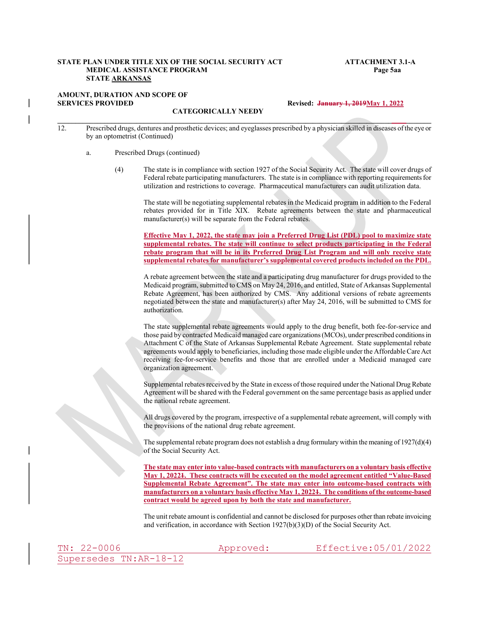# STATE PLAN UNDER TITLE XIX OF THE SOCIAL SECURITY ACT ATTACHMENT 3.1-A<br>MEDICAL ASSISTANCE PROGRAM Page 5aa<br>STATE <u>ARKANSAS</u><br>AMOUNT, DURATION AND SCOPE OF Revised: <del>January 1, 2019 M</del>ay 1, 2022<br>CATEGORICALLY NEEDY MEDICAL ASSISTANCE PROGRAM Page 5aa STATE ARKANSAS **EXAME PLAN UNDER TITLE XIX OF THE SOCIAL SECURITY ACT**<br>
MEDICAL ASSISTANCE PROGRAM<br>
STATE <u>ARKANSAS</u><br>
MOUNT, DURATION AND SCOPE OF<br>
CATEGORICALLY NEEDY<br>
Revised: January 1, 2012<br>
12. Prescribed drugs, dentures and prosth

# AMOUNT, DURATION AND SCOPE OF SERVICES PROVIDED CATEGORICALLY NEEDY Revised: January 1, 2019 <u>May 1, 2022</u>

- by an optometrist (Continued)<br>a. Prescribed Drugs (continued)
	- - (4) The state is in compliance with section 1927 of the Social Security Act. The state will cover drugs of Federal rebate participating manufacturers. The state is in compliance with reporting requirements for utilization and restrictions to coverage. Pharmaceutical manufacturers can audit utilization data.

The state will be negotiating supplemental rebates in the Medicaid program in addition to the Federal rebates provided for in Title XIX. Rebate agreements between the state and pharmaceutical manufacturer(s) will be separate from the Federal rebates.

Effective May 1, 2022, the state may join a Preferred Drug List (PDL) pool to maximize state supplemental rebates. The state will continue to select products participating in the Federal rebate program that will be in its Preferred Drug List Program and will only receive state supplemental rebates for manufacturer's supplemental covered products included on the PDL.

A rebate agreement between the state and a participating drug manufacturer for drugs provided to the Medicaid program, submitted to CMS on May 24, 2016, and entitled, State of Arkansas Supplemental Rebate Agreement, has been authorized by CMS. Any additional versions of rebate agreements negotiated between the state and manufacturer(s) after May 24, 2016, will be submitted to CMS for authorization.

The state supplemental rebate agreements would apply to the drug benefit, both fee-for-service and those paid by contracted Medicaid managed care organizations (MCOs), under prescribed conditions in Attachment C of the State of Arkansas Supplemental Rebate Agreement. State supplemental rebate agreements would apply to beneficiaries, including those made eligible under the Affordable Care Act receiving fee-for-service benefits and those that are enrolled under a Medicaid managed care organization agreement. Medical operators, submitted to CMS on May 24, 2016, and entitled, State of Arkanass Supplemental<br>Rebate Agreement, has been authorized by CMS. Any additional versions of rebate agreements<br>authorization.<br>The state suppleme Rehare Agreement, has been authorized by CMS. Any additional versions of rebate agreements<br>regotiated between the state and manufacturer(s) after May 24, 2016, will be submitted to CMS for<br>authorization.<br>The state supplem

Supplemental rebates received by the State in excess of those required under the National Drug Rebate Agreement will be shared with the Federal government on the same percentage basis as applied under the national rebate agreement.

All drugs covered by the program, irrespective of a supplemental rebate agreement, will comply with the provisions of the national drug rebate agreement.

The supplemental rebate program does not establish a drug formulary within the meaning of 1927(d)(4) of the Social Security Act.

The state may enter into value-based contracts with manufacturers on a voluntary basis effective May 1, 20221. These contracts will be executed on the model agreement entitled "Value-Based Supplemental Rebate Agreement". The state may enter into outcome-based contracts with manufacturers on a voluntary basis effective May 1, 20224. The conditions of the outcome-based

The unit rebate amount is confidential and cannot be disclosed for purposes other than rebate invoicing and verification, in accordance with Section 1927(b)(3)(D) of the Social Security Act.

TN: 22-0006 Approved: Effective:05/01/2022 Supersedes TN:AR-18-12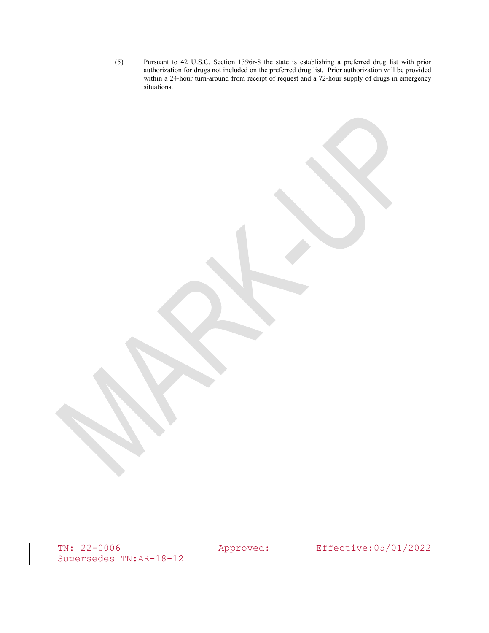(5) Pursuant to 42 U.S.C. Section 1396r-8 the state is establishing a preferred drug list with prior authorization for drugs not included on the preferred drug list. Prior authorization will be provided within a 24-hour tu authorization for drugs not included on the preferred drug list. Prior authorization will be provided within a 24-hour turn-around from receipt of request and a 72-hour supply of drugs in emergency situations.

Supersedes TN:AR-18-12

TN: 22-0006 Approved: Effective:05/01/2022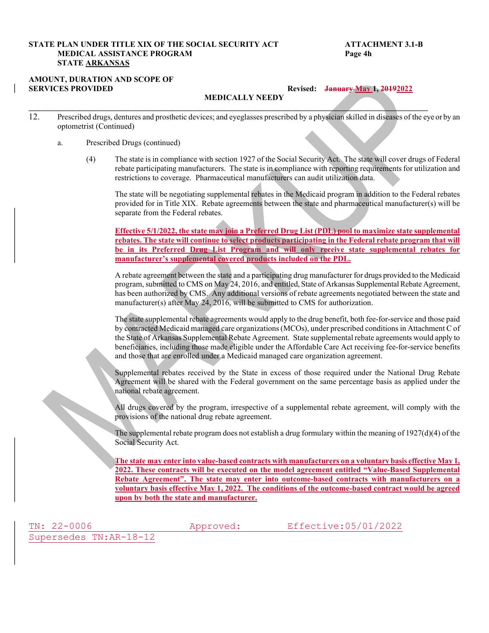## STATE PLAN UNDER TITLE XIX OF THE SOCIAL SECURITY ACT ATTACHMENT 3.1-B MEDICAL ASSISTANCE PROGRAM Page 4h STATE ARKANSAS

# AMOUNT, DURATION AND SCOPE OF SERVICES PROVIDED Revised: January May 1, 20192022

MEDICALLY NEEDY

 $\mathcal{L}_\mathcal{L} = \mathcal{L}_\mathcal{L} = \mathcal{L}_\mathcal{L} = \mathcal{L}_\mathcal{L} = \mathcal{L}_\mathcal{L} = \mathcal{L}_\mathcal{L} = \mathcal{L}_\mathcal{L} = \mathcal{L}_\mathcal{L} = \mathcal{L}_\mathcal{L} = \mathcal{L}_\mathcal{L} = \mathcal{L}_\mathcal{L} = \mathcal{L}_\mathcal{L} = \mathcal{L}_\mathcal{L} = \mathcal{L}_\mathcal{L} = \mathcal{L}_\mathcal{L} = \mathcal{L}_\mathcal{L} = \mathcal{L}_\mathcal{L}$ 

- 12. **Prescribed drugs, dentures and prosthetic devices; and eyeglasses prescribed by a physician skilled in diseases of the eye or by and prosthetic devices; and eyeglasses prescribed by a physician skilled in diseases of** optometrist (Continued)
	- a. Prescribed Drugs (continued)
		- (4) The state is in compliance with section 1927 of the Social Security Act. The state will cover drugs of Federal rebate participating manufacturers. The state is in compliance with reporting requirements for utilization and restrictions to coverage. Pharmaceutical manufacturers can audit utilization data.

The state will be negotiating supplemental rebates in the Medicaid program in addition to the Federal rebates provided for in Title XIX. Rebate agreements between the state and pharmaceutical manufacturer(s) will be separate from the Federal rebates.

Effective 5/1/2022, the state may join a Preferred Drug List (PDL) pool to maximize state supplemental rebates. The state will continue to select products participating in the Federal rebate program that will be in its Preferred Drug List Program and will only receive state supplemental rebates for manufacturer's supplemental covered products included on the PDL.

A rebate agreement between the state and a participating drug manufacturer for drugs provided to the Medicaid program, submitted to CMS on May 24, 2016, and entitled, State of Arkansas Supplemental Rebate Agreement, has been authorized by CMS. Any additional versions of rebate agreements negotiated between the state and manufacturer(s) after May 24, 2016, will be submitted to CMS for authorization.

The state supplemental rebate agreements would apply to the drug benefit, both fee-for-service and those paid by contracted Medicaid managed care organizations (MCOs), under prescribed conditions in Attachment C of the State of Arkansas Supplemental Rebate Agreement. State supplemental rebate agreements would apply to beneficiaries, including those made eligible under the Affordable Care Act receiving fee-for-service benefits and those that are enrolled under a Medicaid managed care organization agreement.

Supplemental rebates received by the State in excess of those required under the National Drug Rebate Agreement will be shared with the Federal government on the same percentage basis as applied under the national rebate agreement.

All drugs covered by the program, irrespective of a supplemental rebate agreement, will comply with the provisions of the national drug rebate agreement.

The supplemental rebate program does not establish a drug formulary within the meaning of  $1927(d)(4)$  of the Social Security Act.

The state may enter into value-based contracts with manufacturers on a voluntary basis effective May 1, 2022. These contracts will be executed on the model agreement entitled "Value-Based Supplemental Rebate Agreement". The state may enter into outcome-based contracts with manufacturers on a voluntary basis effective May 1, 2022. The conditions of the outcome-based contract would be agreed upon by both the state and manufacturer.

Supersedes TN:AR-18-12

TN: 22-0006 Approved: Effective:05/01/2022